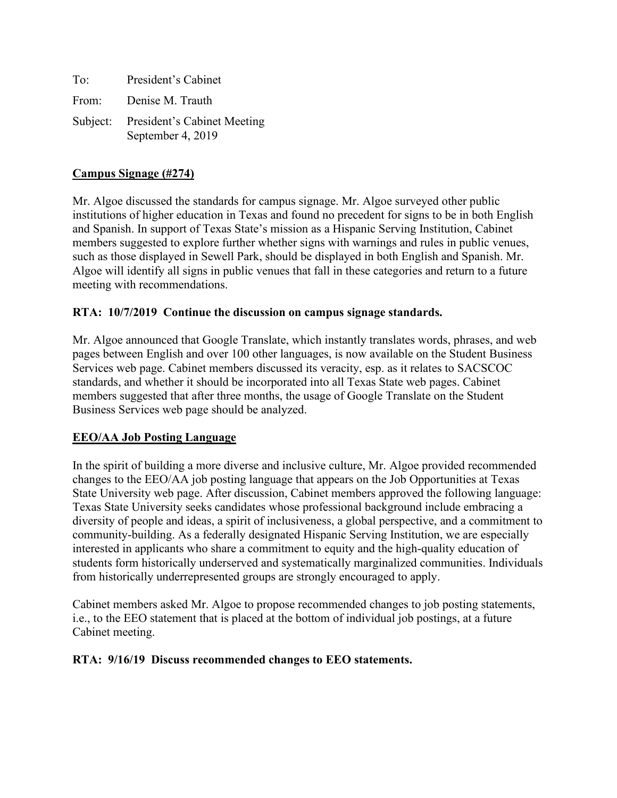| To:   | President's Cabinet                                       |
|-------|-----------------------------------------------------------|
| From: | Denise M. Trauth                                          |
|       | Subject: President's Cabinet Meeting<br>September 4, 2019 |

## **Campus Signage (#274)**

Mr. Algoe discussed the standards for campus signage. Mr. Algoe surveyed other public institutions of higher education in Texas and found no precedent for signs to be in both English and Spanish. In support of Texas State's mission as a Hispanic Serving Institution, Cabinet members suggested to explore further whether signs with warnings and rules in public venues, such as those displayed in Sewell Park, should be displayed in both English and Spanish. Mr. Algoe will identify all signs in public venues that fall in these categories and return to a future meeting with recommendations.

## **RTA: 10/7/2019 Continue the discussion on campus signage standards.**

Mr. Algoe announced that Google Translate, which instantly translates words, phrases, and web pages between English and over 100 other languages, is now available on the Student Business Services web page. Cabinet members discussed its veracity, esp. as it relates to SACSCOC standards, and whether it should be incorporated into all Texas State web pages. Cabinet members suggested that after three months, the usage of Google Translate on the Student Business Services web page should be analyzed.

### **EEO/AA Job Posting Language**

In the spirit of building a more diverse and inclusive culture, Mr. Algoe provided recommended changes to the EEO/AA job posting language that appears on the Job Opportunities at Texas State University web page. After discussion, Cabinet members approved the following language: Texas State University seeks candidates whose professional background include embracing a diversity of people and ideas, a spirit of inclusiveness, a global perspective, and a commitment to community-building. As a federally designated Hispanic Serving Institution, we are especially interested in applicants who share a commitment to equity and the high-quality education of students form historically underserved and systematically marginalized communities. Individuals from historically underrepresented groups are strongly encouraged to apply.

Cabinet members asked Mr. Algoe to propose recommended changes to job posting statements, i.e., to the EEO statement that is placed at the bottom of individual job postings, at a future Cabinet meeting.

### **RTA: 9/16/19 Discuss recommended changes to EEO statements.**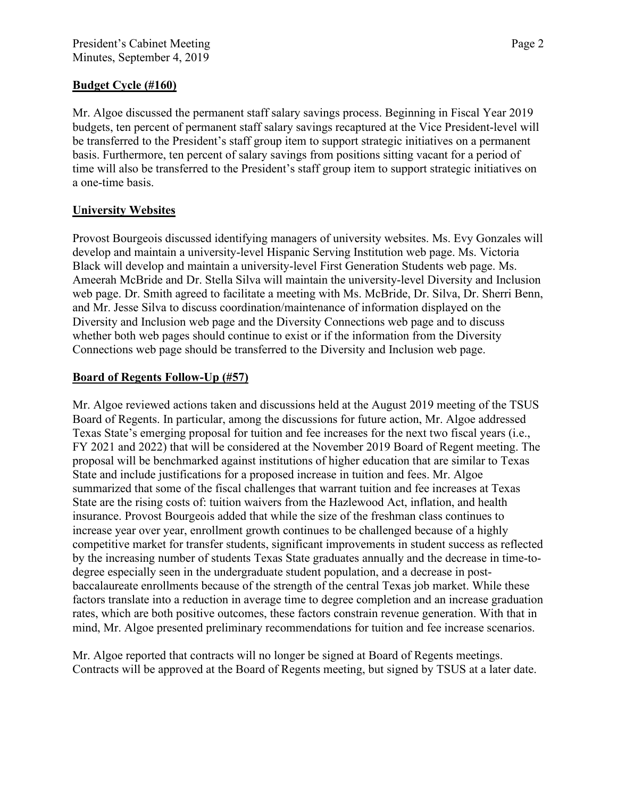## **Budget Cycle (#160)**

Mr. Algoe discussed the permanent staff salary savings process. Beginning in Fiscal Year 2019 budgets, ten percent of permanent staff salary savings recaptured at the Vice President-level will be transferred to the President's staff group item to support strategic initiatives on a permanent basis. Furthermore, ten percent of salary savings from positions sitting vacant for a period of time will also be transferred to the President's staff group item to support strategic initiatives on a one-time basis.

# **University Websites**

Provost Bourgeois discussed identifying managers of university websites. Ms. Evy Gonzales will develop and maintain a university-level Hispanic Serving Institution web page. Ms. Victoria Black will develop and maintain a university-level First Generation Students web page. Ms. Ameerah McBride and Dr. Stella Silva will maintain the university-level Diversity and Inclusion web page. Dr. Smith agreed to facilitate a meeting with Ms. McBride, Dr. Silva, Dr. Sherri Benn, and Mr. Jesse Silva to discuss coordination/maintenance of information displayed on the Diversity and Inclusion web page and the Diversity Connections web page and to discuss whether both web pages should continue to exist or if the information from the Diversity Connections web page should be transferred to the Diversity and Inclusion web page.

# **Board of Regents Follow-Up (#57)**

Mr. Algoe reviewed actions taken and discussions held at the August 2019 meeting of the TSUS Board of Regents. In particular, among the discussions for future action, Mr. Algoe addressed Texas State's emerging proposal for tuition and fee increases for the next two fiscal years (i.e., FY 2021 and 2022) that will be considered at the November 2019 Board of Regent meeting. The proposal will be benchmarked against institutions of higher education that are similar to Texas State and include justifications for a proposed increase in tuition and fees. Mr. Algoe summarized that some of the fiscal challenges that warrant tuition and fee increases at Texas State are the rising costs of: tuition waivers from the Hazlewood Act, inflation, and health insurance. Provost Bourgeois added that while the size of the freshman class continues to increase year over year, enrollment growth continues to be challenged because of a highly competitive market for transfer students, significant improvements in student success as reflected by the increasing number of students Texas State graduates annually and the decrease in time-todegree especially seen in the undergraduate student population, and a decrease in postbaccalaureate enrollments because of the strength of the central Texas job market. While these factors translate into a reduction in average time to degree completion and an increase graduation rates, which are both positive outcomes, these factors constrain revenue generation. With that in mind, Mr. Algoe presented preliminary recommendations for tuition and fee increase scenarios.

Mr. Algoe reported that contracts will no longer be signed at Board of Regents meetings. Contracts will be approved at the Board of Regents meeting, but signed by TSUS at a later date.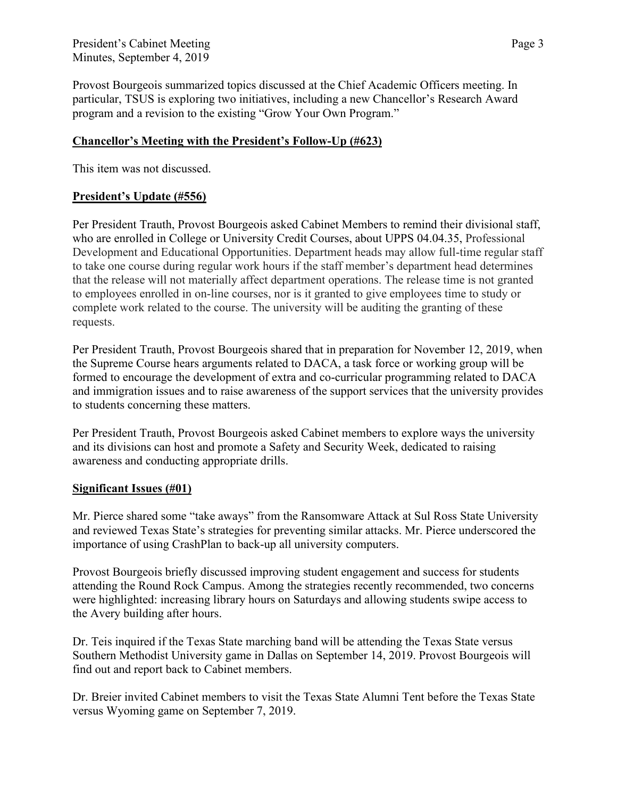President's Cabinet Meeting Page 3 Minutes, September 4, 2019

Provost Bourgeois summarized topics discussed at the Chief Academic Officers meeting. In particular, TSUS is exploring two initiatives, including a new Chancellor's Research Award program and a revision to the existing "Grow Your Own Program."

## **Chancellor's Meeting with the President's Follow-Up (#623)**

This item was not discussed.

## **President's Update (#556)**

Per President Trauth, Provost Bourgeois asked Cabinet Members to remind their divisional staff, who are enrolled in College or University Credit Courses, about UPPS 04.04.35, Professional Development and Educational Opportunities. Department heads may allow full-time regular staff to take one course during regular work hours if the staff member's department head determines that the release will not materially affect department operations. The release time is not granted to employees enrolled in on-line courses, nor is it granted to give employees time to study or complete work related to the course. The university will be auditing the granting of these requests.

Per President Trauth, Provost Bourgeois shared that in preparation for November 12, 2019, when the Supreme Course hears arguments related to DACA, a task force or working group will be formed to encourage the development of extra and co-curricular programming related to DACA and immigration issues and to raise awareness of the support services that the university provides to students concerning these matters.

Per President Trauth, Provost Bourgeois asked Cabinet members to explore ways the university and its divisions can host and promote a Safety and Security Week, dedicated to raising awareness and conducting appropriate drills.

### **Significant Issues (#01)**

Mr. Pierce shared some "take aways" from the Ransomware Attack at Sul Ross State University and reviewed Texas State's strategies for preventing similar attacks. Mr. Pierce underscored the importance of using CrashPlan to back-up all university computers.

Provost Bourgeois briefly discussed improving student engagement and success for students attending the Round Rock Campus. Among the strategies recently recommended, two concerns were highlighted: increasing library hours on Saturdays and allowing students swipe access to the Avery building after hours.

Dr. Teis inquired if the Texas State marching band will be attending the Texas State versus Southern Methodist University game in Dallas on September 14, 2019. Provost Bourgeois will find out and report back to Cabinet members.

Dr. Breier invited Cabinet members to visit the Texas State Alumni Tent before the Texas State versus Wyoming game on September 7, 2019.